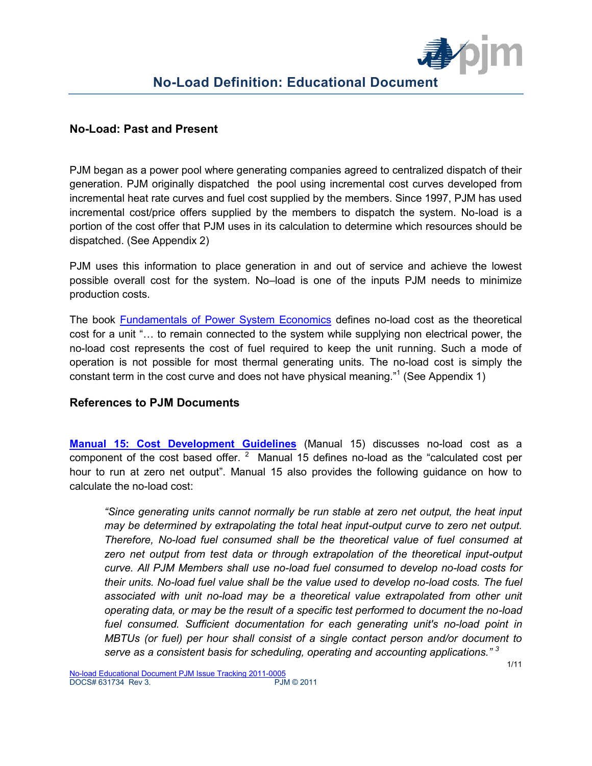

## **No-Load: Past and Present**

PJM began as a power pool where generating companies agreed to centralized dispatch of their generation. PJM originally dispatched the pool using incremental cost curves developed from incremental heat rate curves and fuel cost supplied by the members. Since 1997, PJM has used incremental cost/price offers supplied by the members to dispatch the system. No-load is a portion of the cost offer that PJM uses in its calculation to determine which resources should be dispatched. (See Appendix 2)

PJM uses this information to place generation in and out of service and achieve the lowest possible overall cost for the system. No–load is one of the inputs PJM needs to minimize production costs.

The book [Fundamentals of Power System Economics](http://books.google.com/books?id=QSB_yC1R3wQC&lpg=PA84&ots=JpuiLLA6iW&dq=%22no%20load%20cost%22&pg=PA84#v=onepage&q=%22no%20load%20cost%22&f=false) defines no-load cost as the theoretical cost for a unit "… to remain connected to the system while supplying non electrical power, the no-load cost represents the cost of fuel required to keep the unit running. Such a mode of operation is not possible for most thermal generating units. The no-load cost is simply the constant term in the cost curve and does not have physical meaning."<sup>1</sup> (See Appendix 1)

## **References to PJM Documents**

**[Manual 15: Cost Development Guidelines](http://www.pjm.com/~/media/documents/manuals/m15.ashx)** (Manual 15) discusses no-load cost as a component of the cost based offer.  $2$  Manual 15 defines no-load as the "calculated cost per hour to run at zero net output". Manual 15 also provides the following guidance on how to calculate the no-load cost:

*"Since generating units cannot normally be run stable at zero net output, the heat input may be determined by extrapolating the total heat input-output curve to zero net output. Therefore, No-load fuel consumed shall be the theoretical value of fuel consumed at*  zero net output from test data or through extrapolation of the theoretical input-output *curve. All PJM Members shall use no-load fuel consumed to develop no-load costs for their units. No-load fuel value shall be the value used to develop no-load costs. The fuel*  associated with unit no-load may be a theoretical value extrapolated from other unit *operating data, or may be the result of a specific test performed to document the no-load*  fuel consumed. Sufficient documentation for each generating unit's no-load point in *MBTUs (or fuel) per hour shall consist of a single contact person and/or document to serve as a consistent basis for scheduling, operating and accounting applications." <sup>3</sup>*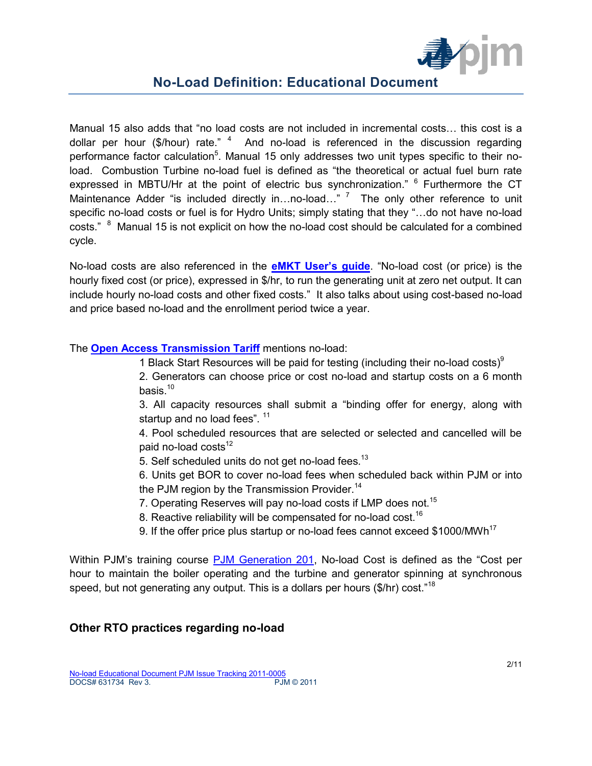

Manual 15 also adds that "no load costs are not included in incremental costs… this cost is a dollar per hour (\$/hour) rate." <sup>4</sup> And no-load is referenced in the discussion regarding performance factor calculation<sup>5</sup>. Manual 15 only addresses two unit types specific to their noload. Combustion Turbine no-load fuel is defined as "the theoretical or actual fuel burn rate expressed in MBTU/Hr at the point of electric bus synchronization." <sup>6</sup> Furthermore the CT Maintenance Adder "is included directly in...no-load..." <sup>7</sup> The only other reference to unit specific no-load costs or fuel is for Hydro Units; simply stating that they "…do not have no-load costs." <sup>8</sup> Manual 15 is not explicit on how the no-load cost should be calculated for a combined cycle.

No-load costs are also referenced in the **[eMKT User's guide](http://www.pjm.com/markets-and-operations/etools/~/media/etools/emkt/ts-userguide.ashx)**. "No-load cost (or price) is the hourly fixed cost (or price), expressed in \$/hr, to run the generating unit at zero net output. It can include hourly no-load costs and other fixed costs." It also talks about using cost-based no-load and price based no-load and the enrollment period twice a year.

## The **[Open Access Transmission Tariff](http://www.pjm.com/documents/~/media/documents/agreements/tariff-614.ashx)** mentions no-load:

1 Black Start Resources will be paid for testing (including their no-load costs) $9$ 

2. Generators can choose price or cost no-load and startup costs on a 6 month basis. $^{\rm 10}$ 

3. All capacity resources shall submit a "binding offer for energy, along with startup and no load fees". <sup>11</sup>

4. Pool scheduled resources that are selected or selected and cancelled will be paid no-load costs $^{12}$ 

5. Self scheduled units do not get no-load fees. $^{13}$ 

6. Units get BOR to cover no-load fees when scheduled back within PJM or into the PJM region by the Transmission Provider.<sup>14</sup>

7. Operating Reserves will pay no-load costs if LMP does not.<sup>15</sup>

8. Reactive reliability will be compensated for no-load cost.<sup>16</sup>

9. If the offer price plus startup or no-load fees cannot exceed \$1000/MWh<sup>17</sup>

Within PJM's training course [PJM Generation 201,](http://www.pjm.com/~/media/training/core-curriculum/ip-gen-201/gen-201-scheduling-process.ashx) No-load Cost is defined as the "Cost per hour to maintain the boiler operating and the turbine and generator spinning at synchronous speed, but not generating any output. This is a dollars per hours (\$/hr) cost."<sup>18</sup>

## **Other RTO practices regarding no-load**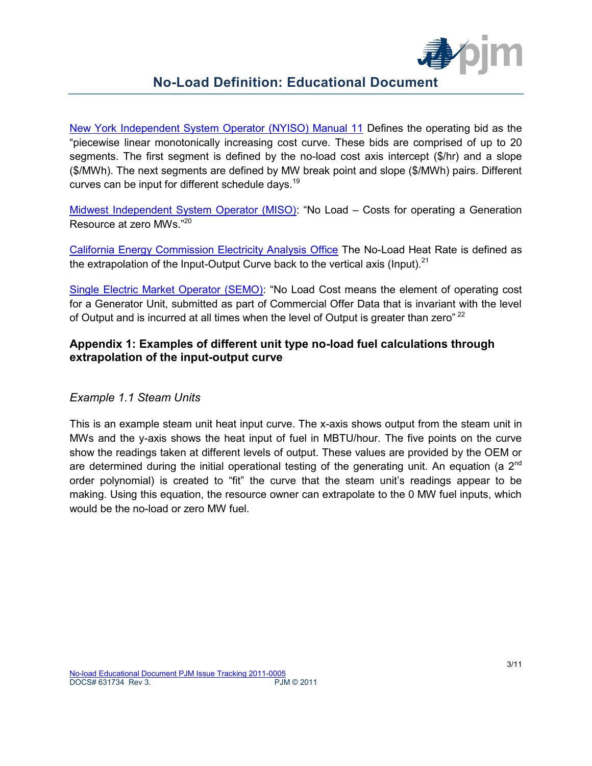

[New York Independent System Operator \(NYISO\) Manual 11](http://www.nyiso.com/public/webdocs/documents/manuals/operations/dayahd_schd_mnl.pd) Defines the operating bid as the "piecewise linear monotonically increasing cost curve. These bids are comprised of up to 20 segments. The first segment is defined by the no-load cost axis intercept (\$/hr) and a slope (\$/MWh). The next segments are defined by MW break point and slope (\$/MWh) pairs. Different curves can be input for different schedule days.<sup>19</sup>

[Midwest Independent System Operator \(MISO\):](http://www.midwestmarket.org/publish/Document/10b1ff_101f945f78e_-70540a48324a/_.pdf?action=download&_property=Attachment) "No Load – Costs for operating a Generation Resource at zero MWs."<sup>20</sup>

[California Energy Commission Electricity Analysis Office](http://www.energy.ca.gov/) The No-Load Heat Rate is defined as the extrapolation of the Input-Output Curve back to the vertical axis (Input). $^{21}$ 

[Single Electric Market Operator \(SEMO\):](http://www.sem-o.com/Dictionary/Pages/N.aspx) "No Load Cost means the element of operating cost for a Generator Unit, submitted as part of Commercial Offer Data that is invariant with the level of Output and is incurred at all times when the level of Output is greater than zero"  $22$ 

## **Appendix 1: Examples of different unit type no-load fuel calculations through extrapolation of the input-output curve**

## *Example 1.1 Steam Units*

This is an example steam unit heat input curve. The x-axis shows output from the steam unit in MWs and the y-axis shows the heat input of fuel in MBTU/hour. The five points on the curve show the readings taken at different levels of output. These values are provided by the OEM or are determined during the initial operational testing of the generating unit. An equation (a 2<sup>nd</sup> order polynomial) is created to "fit" the curve that the steam unit's readings appear to be making. Using this equation, the resource owner can extrapolate to the 0 MW fuel inputs, which would be the no-load or zero MW fuel.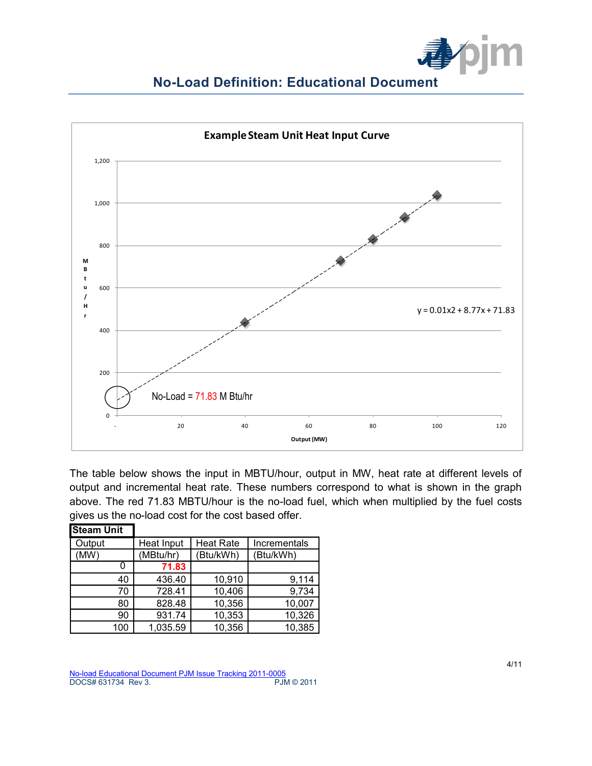



The table below shows the input in MBTU/hour, output in MW, heat rate at different levels of output and incremental heat rate. These numbers correspond to what is shown in the graph above. The red 71.83 MBTU/hour is the no-load fuel, which when multiplied by the fuel costs gives us the no-load cost for the cost based offer.

| <b>Steam Unit</b> |            |                  |              |
|-------------------|------------|------------------|--------------|
| Output            | Heat Input | <b>Heat Rate</b> | Incrementals |
| (MW)              | (MBtu/hr)  | (Btu/kWh)        | (Btu/kWh)    |
|                   | 71.83      |                  |              |
| 40                | 436.40     | 10,910           | 9,114        |
| 70                | 728.41     | 10,406           | 9,734        |
| 80                | 828.48     | 10,356           | 10,007       |
| 90                | 931.74     | 10,353           | 10,326       |
| 100               | 1,035.59   | 10,356           | 10,385       |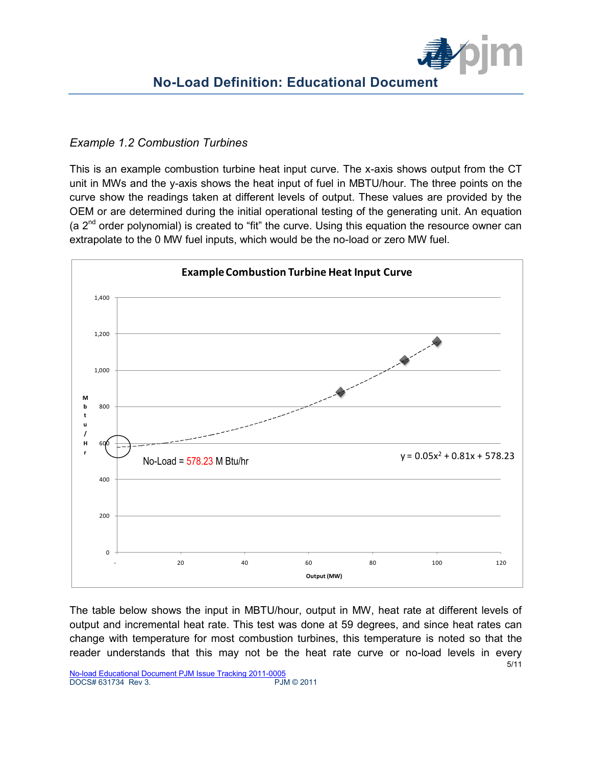

## *Example 1.2 Combustion Turbines*

This is an example combustion turbine heat input curve. The x-axis shows output from the CT unit in MWs and the y-axis shows the heat input of fuel in MBTU/hour. The three points on the curve show the readings taken at different levels of output. These values are provided by the OEM or are determined during the initial operational testing of the generating unit. An equation (a  $2<sup>nd</sup>$  order polynomial) is created to "fit" the curve. Using this equation the resource owner can extrapolate to the 0 MW fuel inputs, which would be the no-load or zero MW fuel.



5/11 The table below shows the input in MBTU/hour, output in MW, heat rate at different levels of output and incremental heat rate. This test was done at 59 degrees, and since heat rates can change with temperature for most combustion turbines, this temperature is noted so that the reader understands that this may not be the heat rate curve or no-load levels in every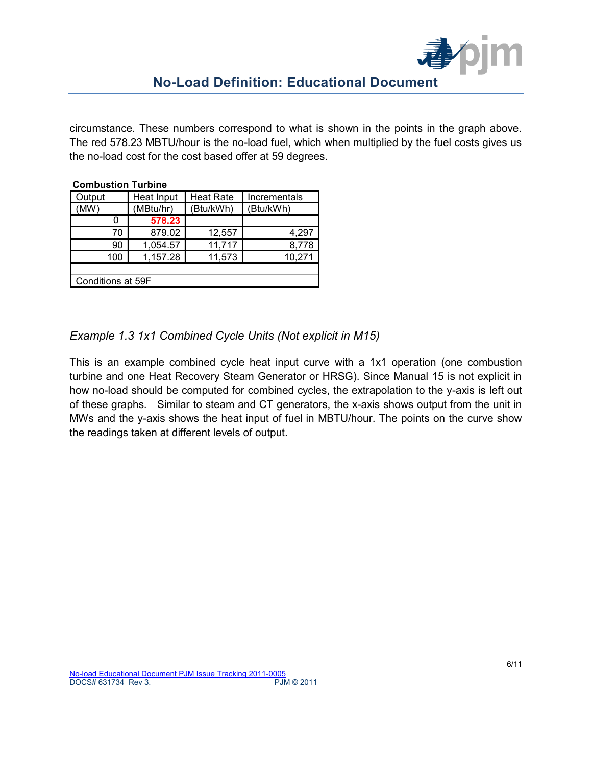

circumstance. These numbers correspond to what is shown in the points in the graph above. The red 578.23 MBTU/hour is the no-load fuel, which when multiplied by the fuel costs gives us the no-load cost for the cost based offer at 59 degrees.

| Compustion Turbine |            |                  |              |  |  |  |
|--------------------|------------|------------------|--------------|--|--|--|
| Output             | Heat Input | <b>Heat Rate</b> | Incrementals |  |  |  |
| (MW)               | (MBtu/hr)  | (Btu/kWh)        | (Btu/kWh)    |  |  |  |
|                    | 578.23     |                  |              |  |  |  |
| 70                 | 879.02     | 12,557           | 4,297        |  |  |  |
| 90                 | 1,054.57   | 11,717           | 8,778        |  |  |  |
| 100                | 1,157.28   | 11,573           | 10,271       |  |  |  |
|                    |            |                  |              |  |  |  |
| Conditions at 59F  |            |                  |              |  |  |  |

#### **Combustion Turbine**

## *Example 1.3 1x1 Combined Cycle Units (Not explicit in M15)*

This is an example combined cycle heat input curve with a 1x1 operation (one combustion turbine and one Heat Recovery Steam Generator or HRSG). Since Manual 15 is not explicit in how no-load should be computed for combined cycles, the extrapolation to the y-axis is left out of these graphs. Similar to steam and CT generators, the x-axis shows output from the unit in MWs and the y-axis shows the heat input of fuel in MBTU/hour. The points on the curve show the readings taken at different levels of output.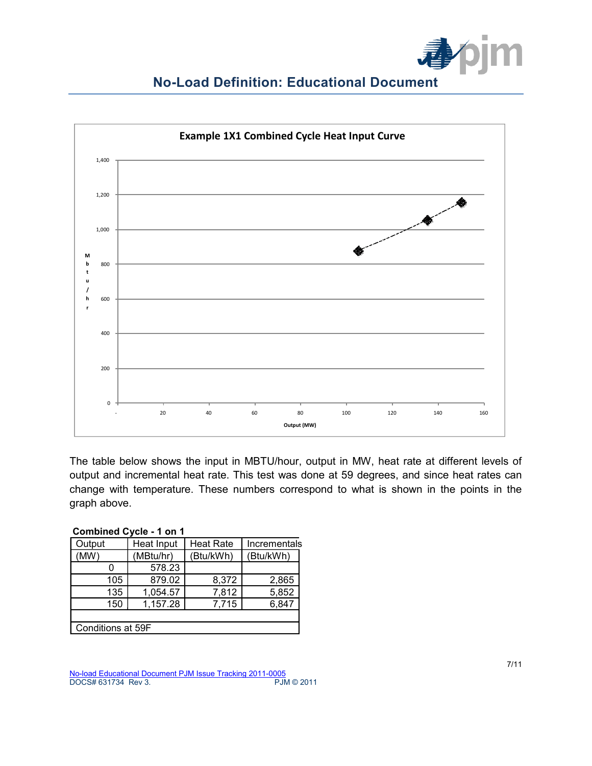



The table below shows the input in MBTU/hour, output in MW, heat rate at different levels of output and incremental heat rate. This test was done at 59 degrees, and since heat rates can change with temperature. These numbers correspond to what is shown in the points in the graph above.

| Output            | Heat Input | <b>Heat Rate</b> | Incrementals |  |  |  |  |
|-------------------|------------|------------------|--------------|--|--|--|--|
| (MW)              | (MBtu/hr)  | (Btu/kWh)        | (Btu/kWh)    |  |  |  |  |
|                   | 578.23     |                  |              |  |  |  |  |
| 105               | 879.02     | 8,372            | 2,865        |  |  |  |  |
| 135               | 1,054.57   | 7,812            | 5,852        |  |  |  |  |
| 150               | 1,157.28   | 7,715            | 6,847        |  |  |  |  |
|                   |            |                  |              |  |  |  |  |
| Conditions at 59F |            |                  |              |  |  |  |  |

No-load Educational Document PJM Issue Tracking 2011-0005<br>DOCS# 631734 Rev 3. DOCS# 631734 Rev 3.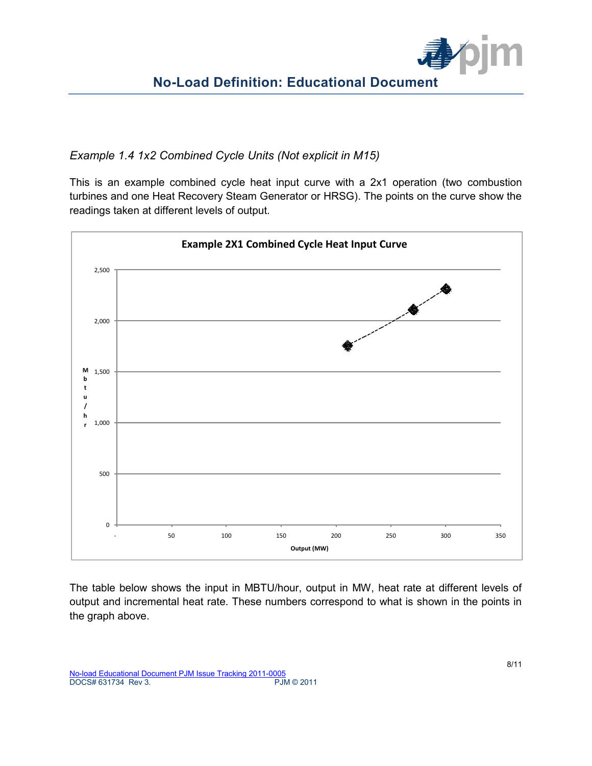

*Example 1.4 1x2 Combined Cycle Units (Not explicit in M15)* 

This is an example combined cycle heat input curve with a 2x1 operation (two combustion turbines and one Heat Recovery Steam Generator or HRSG). The points on the curve show the readings taken at different levels of output.



The table below shows the input in MBTU/hour, output in MW, heat rate at different levels of output and incremental heat rate. These numbers correspond to what is shown in the points in the graph above.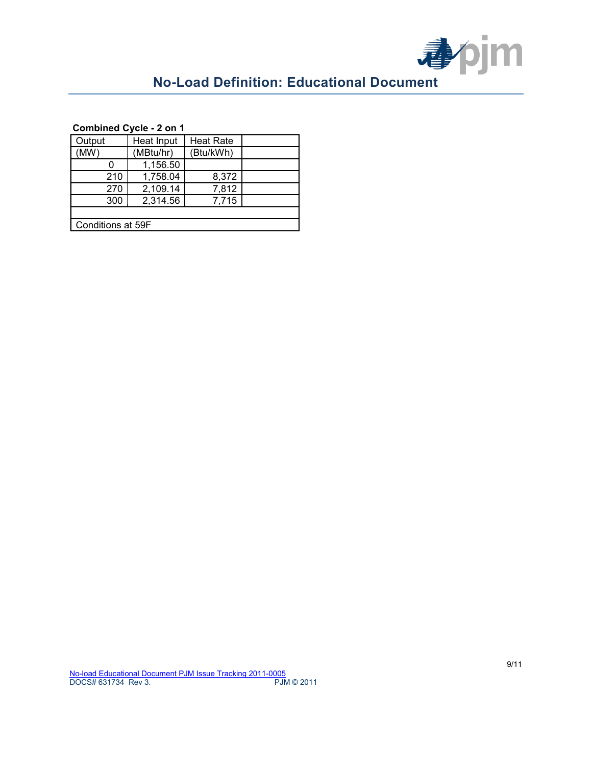

#### **Combined Cycle - 2 on 1**

| Output            | Heat Input | <b>Heat Rate</b> |  |  |  |  |  |
|-------------------|------------|------------------|--|--|--|--|--|
| (MW)              | (MBtu/hr)  | (Btu/kWh)        |  |  |  |  |  |
|                   | 1,156.50   |                  |  |  |  |  |  |
| 210               | 1,758.04   | 8,372            |  |  |  |  |  |
| 270               | 2,109.14   | 7,812            |  |  |  |  |  |
| 300               | 2,314.56   | 7,715            |  |  |  |  |  |
|                   |            |                  |  |  |  |  |  |
| Conditions at 59F |            |                  |  |  |  |  |  |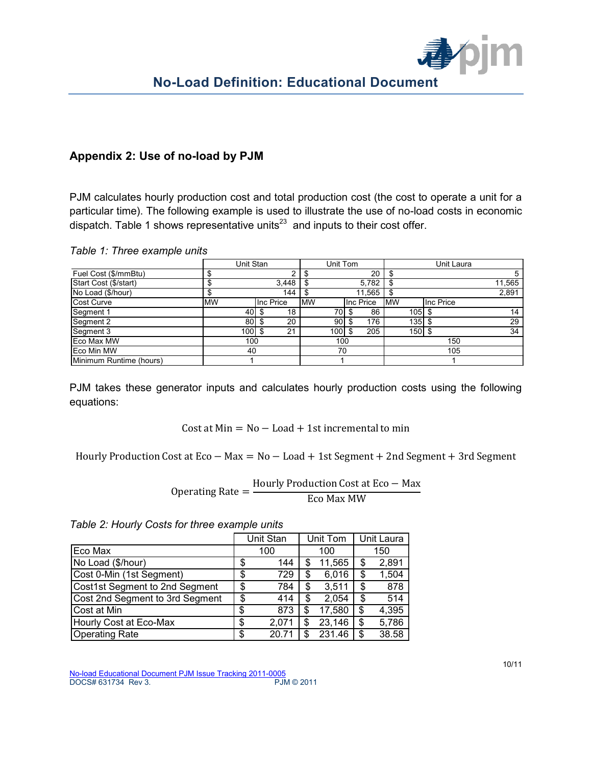

## **Appendix 2: Use of no-load by PJM**

PJM calculates hourly production cost and total production cost (the cost to operate a unit for a particular time). The following example is used to illustrate the use of no-load costs in economic dispatch. Table 1 shows representative units<sup>23</sup> and inputs to their cost offer.

#### *Table 1: Three example units*

|                         |     | Unit Stan            |           |           | Unit Tom         |    |           |           |      | Unit Laura |        |
|-------------------------|-----|----------------------|-----------|-----------|------------------|----|-----------|-----------|------|------------|--------|
| Fuel Cost (\$/mmBtu)    | ъ   |                      |           |           |                  |    | 20        |           |      |            |        |
| Start Cost (\$/start)   | ۰D  |                      | 3,448     |           |                  |    | 5,782     |           |      |            | 11,565 |
| No Load (\$/hour)       |     |                      | 144       |           |                  |    | 11.565    |           |      |            | 2,891  |
| <b>Cost Curve</b>       | IMW |                      | Inc Price | <b>MW</b> |                  |    | Inc Price | <b>MW</b> |      | Inc Price  |        |
| Segment 1               |     | $40$ \ $\frac{1}{3}$ | 18        |           | 70               | æ  | 86        |           | 105  |            |        |
| Segment 2               |     | $80$ $\sqrt{5}$      | 20        |           | 90 <sub>l</sub>  |    | 176       |           | 135  |            | 29     |
| Segment 3               |     | $100$ \$             | 21        |           | 100 <sub>l</sub> | \$ | 205       |           | 150S |            | 34     |
| Eco Max MW              |     | 100                  |           |           | 100              |    |           |           |      | 150        |        |
| Eco Min MW              |     | 40                   |           |           | 70               |    |           |           |      | 105        |        |
| Minimum Runtime (hours) |     |                      |           |           |                  |    |           |           |      |            |        |

PJM takes these generator inputs and calculates hourly production costs using the following equations:

Cost at Min =  $No - Load + 1st$  incremental to min

Hourly Production Cost at Eco − Max = No − Load + 1st Segment + 2nd Segment + 3rd Segment

Operating Rate = 
$$
\frac{\text{Hourly Production Cost at Eco} - \text{Max}}{\text{Eco Max MW}}
$$

| Table 2: Hourly Costs for three example units |            | Unit Stan |    | Unit Tom |    | Unit Laura |
|-----------------------------------------------|------------|-----------|----|----------|----|------------|
| Eco Max                                       | 100<br>100 |           |    |          |    | 150        |
| No Load (\$/hour)                             | \$         | 144       | \$ | 11,565   | \$ | 2,891      |
| Cost 0-Min (1st Segment)                      | \$         | 729       | \$ | 6,016    | \$ | 1,504      |
| Cost1st Segment to 2nd Segment                | \$         | 784       | \$ | 3.511    | \$ | 878        |
| Cost 2nd Segment to 3rd Segment               | \$         | 414       | \$ | 2,054    | \$ | 514        |
| Cost at Min                                   | \$         | 873       | \$ | 17,580   | \$ | 4,395      |
| Hourly Cost at Eco-Max                        | \$         | 2.071     | \$ | 23,146   | \$ | 5,786      |
| <b>Operating Rate</b>                         | \$         | 20.71     | S  | 231.46   | S  | 38.58      |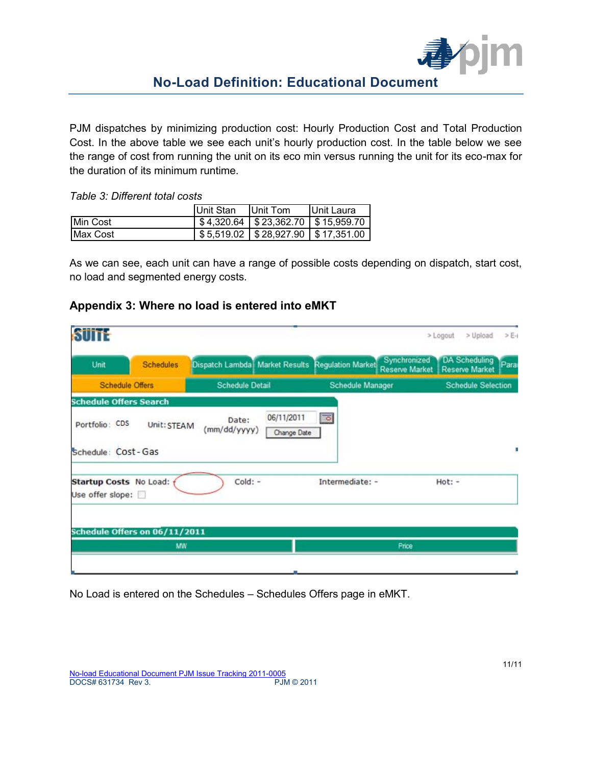

PJM dispatches by minimizing production cost: Hourly Production Cost and Total Production Cost. In the above table we see each unit's hourly production cost. In the table below we see the range of cost from running the unit on its eco min versus running the unit for its eco-max for the duration of its minimum runtime.

| Table 3: Different total costs |                    |                                                |            |  |  |  |
|--------------------------------|--------------------|------------------------------------------------|------------|--|--|--|
|                                | Unit Stan Unit Tom |                                                | Unit Laura |  |  |  |
| Min Cost                       |                    | $\vert$ \$4,320.64   \$23,362.70   \$15,959.70 |            |  |  |  |
| Max Cost                       |                    | \$5,519.02   \$28,927.90   \$17,351.00         |            |  |  |  |

As we can see, each unit can have a range of possible costs depending on dispatch, start cost, no load and segmented energy costs.

## **Appendix 3: Where no load is entered into eMKT**

| <b>SUITE</b>                               |                               |                        |                                                  | > Upload<br>$> E-1$<br>> Logout                                                                |
|--------------------------------------------|-------------------------------|------------------------|--------------------------------------------------|------------------------------------------------------------------------------------------------|
| Unit                                       | <b>Schedules</b>              |                        | Dispatch Lambda Market Results Regulation Market | <b>DA Scheduling</b><br>Synchronized<br>Para<br><b>Reserve Market</b><br><b>Reserve Market</b> |
| <b>Schedule Offers</b>                     |                               | <b>Schedule Detail</b> | Schedule Manager                                 | <b>Schedule Selection</b>                                                                      |
| <b>Schedule Offers Search</b>              |                               |                        |                                                  |                                                                                                |
| Portfolio: CDS                             | Unit: STEAM                   | Date:<br>(mm/dd/yyyy)  | $\overline{\rm He}$<br>06/11/2011<br>Change Date |                                                                                                |
| Schedule: Cost-Gas                         |                               |                        |                                                  | Г                                                                                              |
| Startup Costs No Load:<br>Use offer slope: |                               | Cold: -                | Intermediate: -                                  | $Hot: -$                                                                                       |
|                                            | Schedule Offers on 06/11/2011 |                        |                                                  |                                                                                                |
|                                            | <b>MW</b>                     |                        |                                                  | Price                                                                                          |
|                                            |                               |                        |                                                  |                                                                                                |

No Load is entered on the Schedules – Schedules Offers page in eMKT.